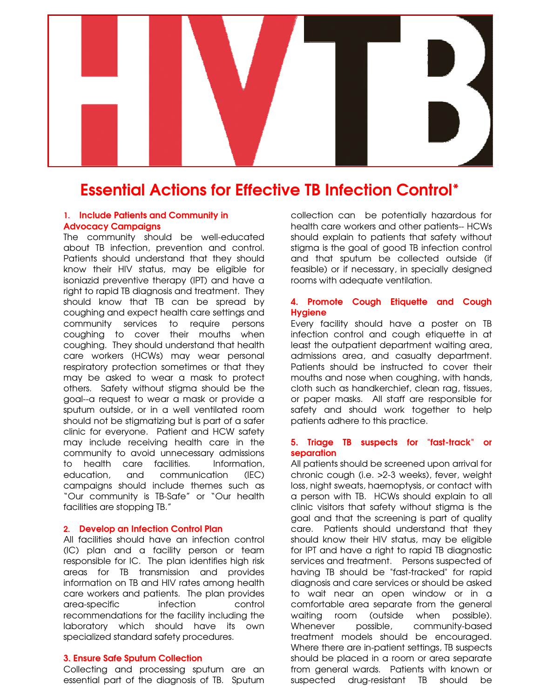

# Essential Actions for Effective TB Infection Control\*

## 1. Include Patients and Community in Advocacy Campaigns

The community should be well-educated about TB infection, prevention and control. Patients should understand that they should know their HIV status, may be eligible for isoniazid preventive therapy (IPT) and have a right to rapid TB diagnosis and treatment. They should know that TB can be spread by coughing and expect health care settings and community services to require persons coughing to cover their mouths when coughing. They should understand that health care workers (HCWs) may wear personal respiratory protection sometimes or that they may be asked to wear a mask to protect others. Safety without stigma should be the goal--a request to wear a mask or provide a sputum outside, or in a well ventilated room should not be stigmatizing but is part of a safer clinic for everyone. Patient and HCW safety may include receiving health care in the community to avoid unnecessary admissions to health care facilities. Information, education, and communication (IEC) campaigns should include themes such as "Our community is TB-Safe" or "Our health facilities are stopping TB."

#### 2. Develop an Infection Control Plan

All facilities should have an infection control (IC) plan and a facility person or team responsible for IC. The plan identifies high risk areas for TB transmission and provides information on TB and HIV rates among health care workers and patients. The plan provides area-specific infection control recommendations for the facility including the laboratory which should have its own specialized standard safety procedures.

#### 3. Ensure Safe Sputum Collection

Collecting and processing sputum are an essential part of the diagnosis of TB. Sputum collection can be potentially hazardous for health care workers and other patients-- HCWs should explain to patients that safety without stigma is the goal of good TB infection control and that sputum be collected outside (if feasible) or if necessary, in specially designed rooms with adequate ventilation.

## 4. Promote Cough Etiquette and Cough **Hygiene**

Every facility should have a poster on TB infection control and cough etiquette in at least the outpatient department waiting area, admissions area, and casualty department. Patients should be instructed to cover their mouths and nose when coughing, with hands, cloth such as handkerchief, clean rag, tissues, or paper masks. All staff are responsible for safety and should work together to help patients adhere to this practice.

## 5. Triage TB suspects for "fast-track" or separation

All patients should be screened upon arrival for chronic cough (i.e. >2-3 weeks), fever, weight loss, night sweats, haemoptysis, or contact with a person with TB. HCWs should explain to all clinic visitors that safety without stigma is the goal and that the screening is part of quality care. Patients should understand that they should know their HIV status, may be eligible for IPT and have a right to rapid TB diagnostic services and treatment. Persons suspected of having TB should be "fast-tracked" for rapid diagnosis and care services or should be asked to wait near an open window or in a comfortable area separate from the general waiting room (outside when possible). Whenever possible, community-based treatment models should be encouraged. Where there are in-patient settings, TB suspects should be placed in a room or area separate from general wards. Patients with known or suspected drug-resistant TB should be